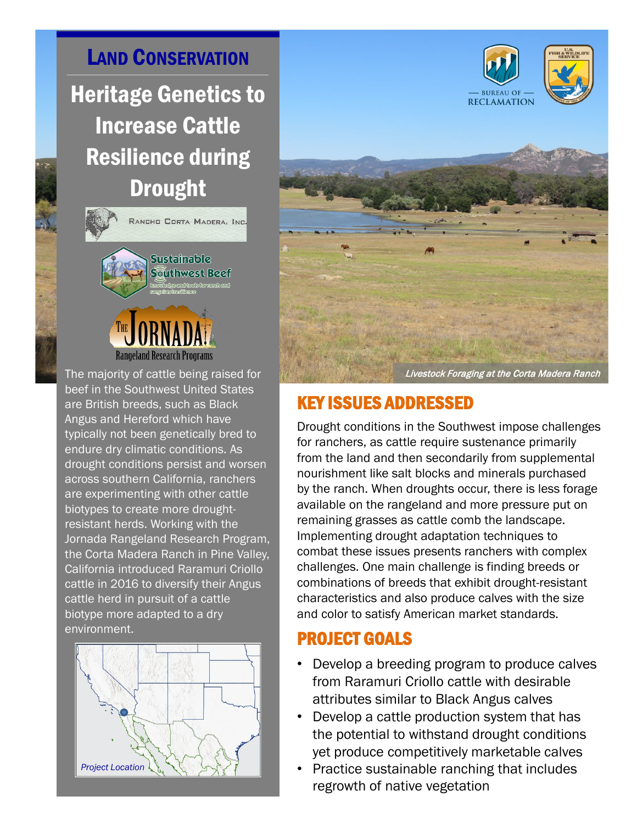LAND CONSERVATION Heritage Genetics to Increase Cattle Resilience during Drought



The majority of cattle being raised for beef in the Southwest United States are British breeds, such as Black Angus and Hereford which have typically not been genetically bred to endure dry climatic conditions. As drought conditions persist and worsen across southern California, ranchers are experimenting with other cattle biotypes to create more droughtresistant herds. Working with the Jornada Rangeland Research Program, the Corta Madera Ranch in Pine Valley, California introduced Raramuri Criollo cattle in 2016 to diversify their Angus cattle herd in pursuit of a cattle biotype more adapted to a dry environment.<br>
PROJECT GOALS





## KEY ISSUES ADDRESSED

Drought conditions in the Southwest impose challenges for ranchers, as cattle require sustenance primarily from the land and then secondarily from supplemental nourishment like salt blocks and minerals purchased by the ranch. When droughts occur, there is less forage available on the rangeland and more pressure put on remaining grasses as cattle comb the landscape. Implementing drought adaptation techniques to combat these issues presents ranchers with complex challenges. One main challenge is finding breeds or combinations of breeds that exhibit drought-resistant characteristics and also produce calves with the size and color to satisfy American market standards.

- Develop a breeding program to produce calves from Raramuri Criollo cattle with desirable attributes similar to Black Angus calves
- Develop a cattle production system that has the potential to withstand drought conditions yet produce competitively marketable calves
- Practice sustainable ranching that includes regrowth of native vegetation